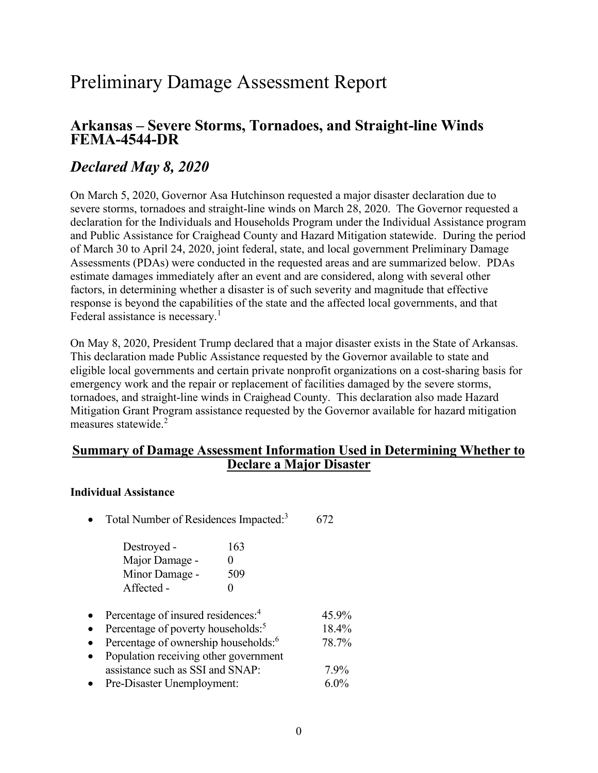# Preliminary Damage Assessment Report

## Arkansas – Severe Storms, Tornadoes, and Straight-line Winds FEMA-4544-DR

# Declared May 8, 2020

 On March 5, 2020, Governor Asa Hutchinson requested a major disaster declaration due to severe storms, tornadoes and straight-line winds on March 28, 2020. The Governor requested a declaration for the Individuals and Households Program under the Individual Assistance program and Public Assistance for Craighead County and Hazard Mitigation statewide. During the period of March 30 to April 24, 2020, joint federal, state, and local government Preliminary Damage Assessments (PDAs) were conducted in the requested areas and are summarized below. PDAs estimate damages immediately after an event and are considered, along with several other factors, in determining whether a disaster is of such severity and magnitude that effective response is beyond the capabilities of the state and the affected local governments, and that Federal assistance is necessary.<sup>1</sup>

 On May 8, 2020, President Trump declared that a major disaster exists in the State of Arkansas. This declaration made Public Assistance requested by the Governor available to state and eligible local governments and certain private nonprofit organizations on a cost-sharing basis for emergency work and the repair or replacement of facilities damaged by the severe storms, tornadoes, and straight-line winds in Craighead County. This declaration also made Hazard Mitigation Grant Program assistance requested by the Governor available for hazard mitigation measures statewide.<sup>2</sup>

## Summary of Damage Assessment Information Used in Determining Whether to Declare a Major Disaster

### Individual Assistance

• Total Number of Residences Impacted: $3$  672

| Destroyed -    | 163               |
|----------------|-------------------|
| Major Damage - | $\mathbf{\Omega}$ |
| Minor Damage - | 509               |
| Affected -     | $\mathbf{\Omega}$ |

- Percentage of insured residences:<sup>4</sup> 45.9%
- Percentage of poverty households: $5$  18.4%
- Percentage of ownership households:  $678.7\%$
- Population receiving other government assistance such as SSI and SNAP: 7.9%
- Pre-Disaster Unemployment: 6.0%